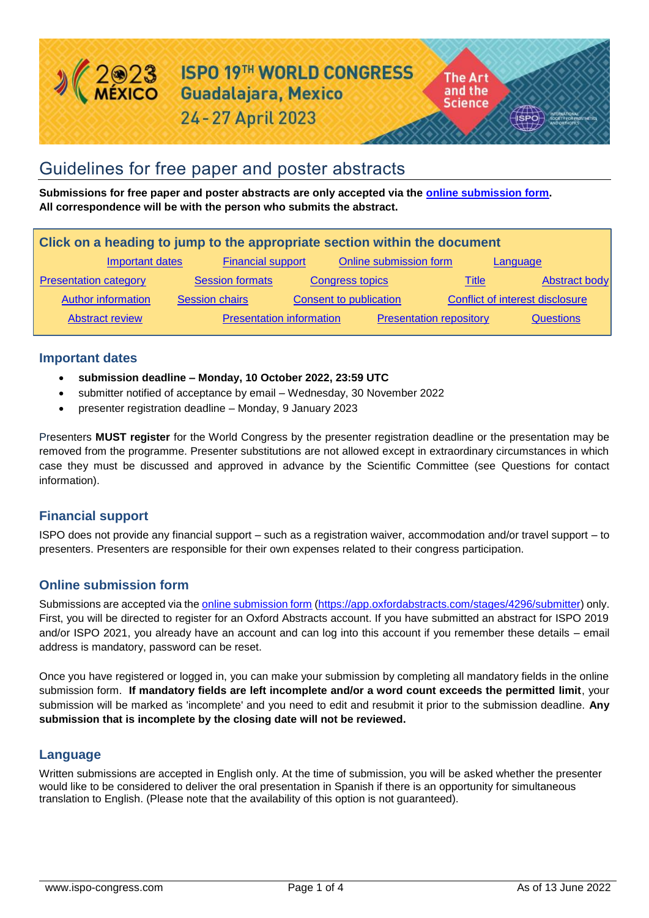

# Guidelines for free paper and poster abstracts

**Submissions for free paper and poster abstracts are only accepted via the [online submission form.](https://app.oxfordabstracts.com/stages/4296/submitter) All correspondence will be with the person who submits the abstract.** 

| Click on a heading to jump to the appropriate section within the document |                                 |                               |                                |                                 |
|---------------------------------------------------------------------------|---------------------------------|-------------------------------|--------------------------------|---------------------------------|
| Important dates                                                           | <b>Financial support</b>        |                               | Online submission form         | Language                        |
| <b>Presentation category</b>                                              | <b>Session formats</b>          | <b>Congress topics</b>        | Title                          | Abstract body                   |
| <b>Author information</b>                                                 | <b>Session chairs</b>           | <b>Consent to publication</b> |                                | Conflict of interest disclosure |
| <b>Abstract review</b>                                                    | <b>Presentation information</b> |                               | <b>Presentation repository</b> | <b>Questions</b>                |

#### <span id="page-0-0"></span>**Important dates**

- **submission deadline – Monday, 10 October 2022, 23:59 UTC**
- submitter notified of acceptance by email Wednesday, 30 November 2022
- presenter registration deadline Monday, 9 January 2023

Presenters **MUST register** for the World Congress by the presenter registration deadline or the presentation may be removed from the programme. Presenter substitutions are not allowed except in extraordinary circumstances in which case they must be discussed and approved in advance by the Scientific Committee (see [Questions](#page-3-1) for contact information).

## <span id="page-0-1"></span>**Financial support**

ISPO does not provide any financial support – such as a registration waiver, accommodation and/or travel support – to presenters. Presenters are responsible for their own expenses related to their congress participation.

## <span id="page-0-2"></span>**Online submission form**

Submissions are accepted via th[e online submission form](https://app.oxfordabstracts.com/stages/4296/submitter) [\(https://app.oxfordabstracts.com/stages/4296/submitter\)](https://app.oxfordabstracts.com/stages/4296/submitter) only. First, you will be directed to register for an Oxford Abstracts account. If you have submitted an abstract for ISPO 2019 and/or ISPO 2021, you already have an account and can log into this account if you remember these details – email address is mandatory, password can be reset.

Once you have registered or logged in, you can make your submission by completing all mandatory fields in the online submission form. **If mandatory fields are left incomplete and/or a word count exceeds the permitted limit**, your submission will be marked as 'incomplete' and you need to edit and resubmit it prior to the submission deadline. **Any submission that is incomplete by the closing date will not be reviewed.**

## **Language**

<span id="page-0-3"></span>Written submissions are accepted in English only. At the time of submission, you will be asked whether the presenter would like to be considered to deliver the oral presentation in Spanish if there is an opportunity for simultaneous translation to English. (Please note that the availability of this option is not guaranteed).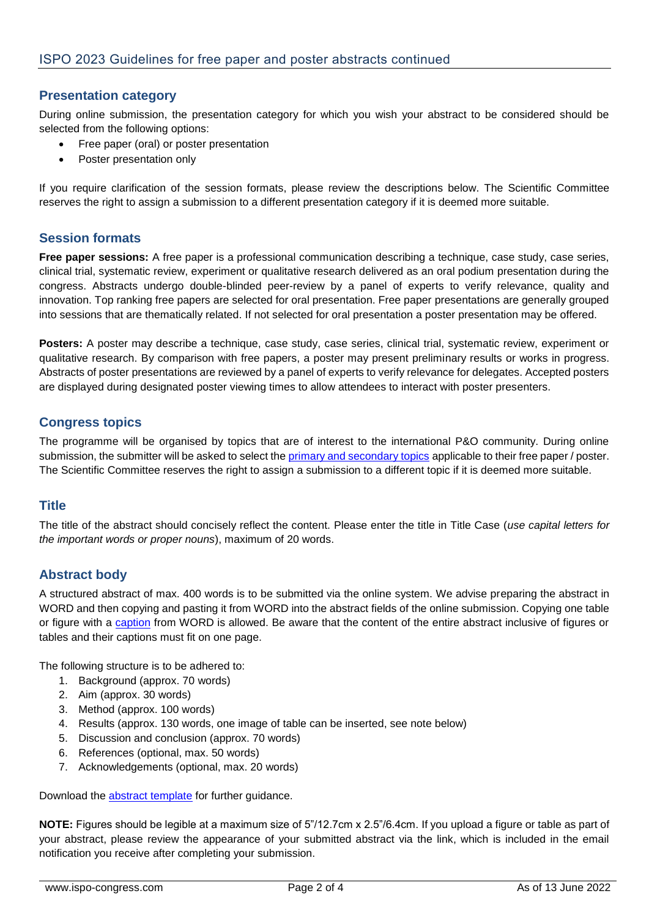# **Presentation category**

During online submission, the presentation category for which you wish your abstract to be considered should be selected from the following options:

- Free paper (oral) or poster presentation
- Poster presentation only

If you require clarification of the session formats, please review the descriptions below. The Scientific Committee reserves the right to assign a submission to a different presentation category if it is deemed more suitable.

## <span id="page-1-0"></span>**Session formats**

**Free paper sessions:** A free paper is a professional communication describing a technique, case study, case series, clinical trial, systematic review, experiment or qualitative research delivered as an oral podium presentation during the congress. Abstracts undergo double-blinded peer-review by a panel of experts to verify relevance, quality and innovation. Top ranking free papers are selected for oral presentation. Free paper presentations are generally grouped into sessions that are thematically related. If not selected for oral presentation a poster presentation may be offered.

**Posters:** A poster may describe a technique, case study, case series, clinical trial, systematic review, experiment or qualitative research. By comparison with free papers, a poster may present preliminary results or works in progress. Abstracts of poster presentations are reviewed by a panel of experts to verify relevance for delegates. Accepted posters are displayed during designated poster viewing times to allow attendees to interact with poster presenters.

# <span id="page-1-1"></span>**Congress topics**

The programme will be organised by topics that are of interest to the international P&O community. During online submission, the submitter will be asked to select the [primary and secondary topics](https://www.ispo-congress.com/en/about/event-profile/congress-topics/) applicable to their free paper / poster. The Scientific Committee reserves the right to assign a submission to a different topic if it is deemed more suitable.

## <span id="page-1-2"></span>**Title**

The title of the abstract should concisely reflect the content. Please enter the title in Title Case (*use capital letters for the important words or proper nouns*), maximum of 20 words.

# <span id="page-1-3"></span>**Abstract body**

A structured abstract of max. 400 words is to be submitted via the online system. We advise preparing the abstract in WORD and then copying and pasting it from WORD into the abstract fields of the online submission. Copying one table or figure with a [caption](https://support.office.com/en-us/article/add-format-or-delete-captions-in-word-82fa82a4-f0f3-438f-a422-34bb5cef9c81) from WORD is allowed. Be aware that the content of the entire abstract inclusive of figures or tables and their captions must fit on one page.

The following structure is to be adhered to:

- 1. Background (approx. 70 words)
- 2. Aim (approx. 30 words)
- 3. Method (approx. 100 words)
- 4. Results (approx. 130 words, one image of table can be inserted, see note below)
- 5. Discussion and conclusion (approx. 70 words)
- 6. References (optional, max. 50 words)
- 7. Acknowledgements (optional, max. 20 words)

Download the [abstract template](https://www.ispo-congress.com/Abstract-template) for further guidance.

**NOTE:** Figures should be legible at a maximum size of 5"/12.7cm x 2.5"/6.4cm. If you upload a figure or table as part of your abstract, please review the appearance of your submitted abstract via the link, which is included in the email notification you receive after completing your submission.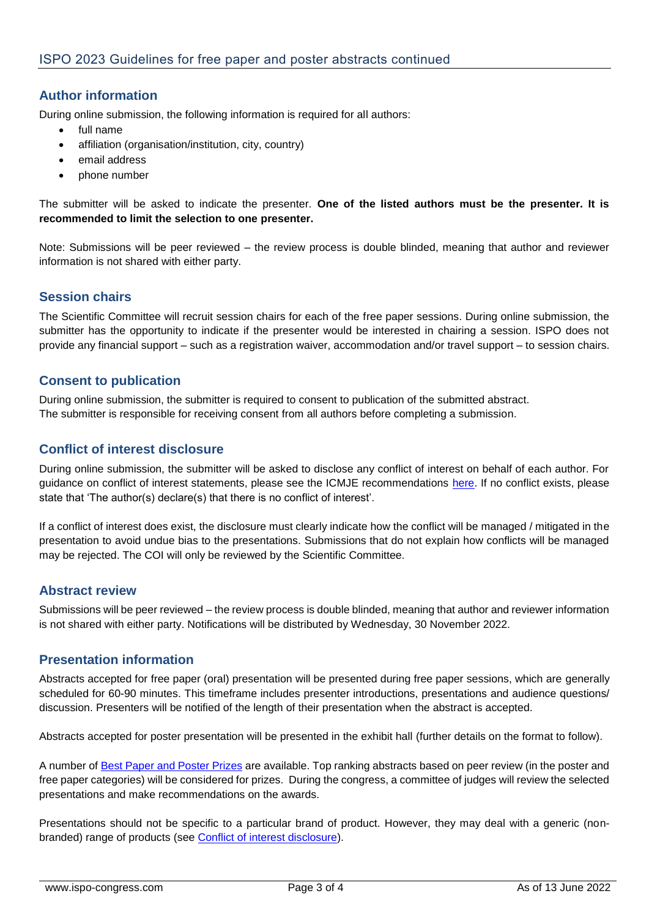# <span id="page-2-0"></span>**Author information**

During online submission, the following information is required for all authors:

- full name
- affiliation (organisation/institution, city, country)
- email address
- <span id="page-2-1"></span>• phone number

The submitter will be asked to indicate the presenter. **One of the listed authors must be the presenter. It is recommended to limit the selection to one presenter.**

Note: Submissions will be peer reviewed – the review process is double blinded, meaning that author and reviewer information is not shared with either party.

# **Session chairs**

The Scientific Committee will recruit session chairs for each of the free paper sessions. During online submission, the submitter has the opportunity to indicate if the presenter would be interested in chairing a session. ISPO does not provide any financial support – such as a registration waiver, accommodation and/or travel support – to session chairs.

## <span id="page-2-2"></span>**Consent to publication**

During online submission, the submitter is required to consent to publication of the submitted abstract. The submitter is responsible for receiving consent from all authors before completing a submission.

## <span id="page-2-3"></span>**Conflict of interest disclosure**

During online submission, the submitter will be asked to disclose any conflict of interest on behalf of each author. For guidance on conflict of interest statements, please see the ICMJE recommendations [here.](http://www.icmje.org/recommendations/browse/roles-and-responsibilities/author-responsibilities--conflicts-of-interest.html) If no conflict exists, please state that 'The author(s) declare(s) that there is no conflict of interest'.

If a conflict of interest does exist, the disclosure must clearly indicate how the conflict will be managed / mitigated in the presentation to avoid undue bias to the presentations. Submissions that do not explain how conflicts will be managed may be rejected. The COI will only be reviewed by the Scientific Committee.

## <span id="page-2-4"></span>**Abstract review**

Submissions will be peer reviewed – the review process is double blinded, meaning that author and reviewer information is not shared with either party. Notifications will be distributed by Wednesday, 30 November 2022.

## <span id="page-2-5"></span>**Presentation information**

Abstracts accepted for free paper (oral) presentation will be presented during free paper sessions, which are generally scheduled for 60-90 minutes. This timeframe includes presenter introductions, presentations and audience questions/ discussion. Presenters will be notified of the length of their presentation when the abstract is accepted.

Abstracts accepted for poster presentation will be presented in the exhibit hall (further details on the format to follow).

A number of [Best Paper and Poster Prizes](https://www.ispo-congress.com/en/programme/prizes-and-awards/) are available. Top ranking abstracts based on peer review (in the poster and free paper categories) will be considered for prizes. During the congress, a committee of judges will review the selected presentations and make recommendations on the awards.

Presentations should not be specific to a particular brand of product. However, they may deal with a generic (nonbranded) range of products (see [Conflict of interest disclosure\)](#page-2-3).